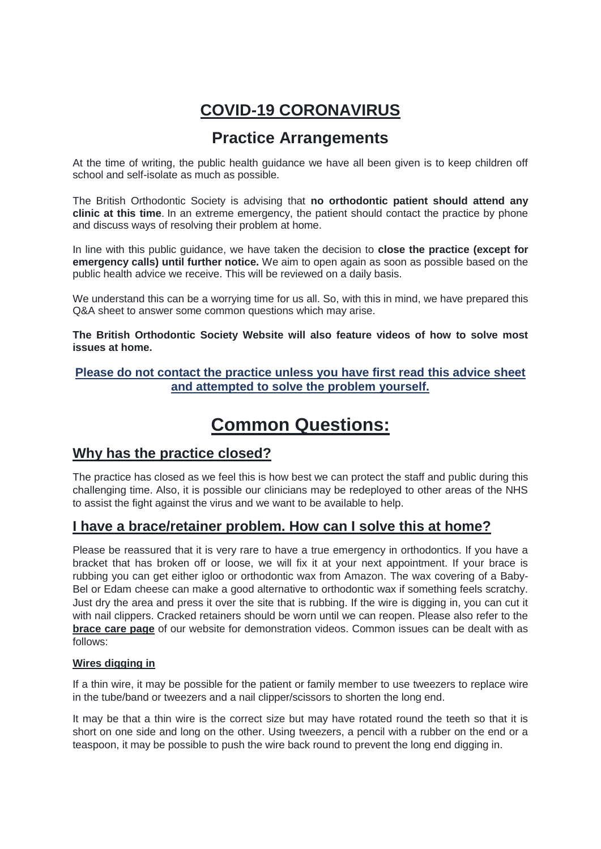# **COVID-19 CORONAVIRUS**

# **Practice Arrangements**

At the time of writing, the public health guidance we have all been given is to keep children off school and self-isolate as much as possible.

The British Orthodontic Society is advising that **no orthodontic patient should attend any clinic at this time**. In an extreme emergency, the patient should contact the practice by phone and discuss ways of resolving their problem at home.

In line with this public guidance, we have taken the decision to **close the practice (except for emergency calls) until further notice.** We aim to open again as soon as possible based on the public health advice we receive. This will be reviewed on a daily basis.

We understand this can be a worrying time for us all. So, with this in mind, we have prepared this Q&A sheet to answer some common questions which may arise.

**The British Orthodontic Society Website will also feature videos of how to solve most issues at home.**

### **Please do not contact the practice unless you have first read this advice sheet and attempted to solve the problem yourself.**

# **Common Questions:**

### **Why has the practice closed?**

The practice has closed as we feel this is how best we can protect the staff and public during this challenging time. Also, it is possible our clinicians may be redeployed to other areas of the NHS to assist the fight against the virus and we want to be available to help.

# **I have a brace/retainer problem. How can I solve this at home?**

Please be reassured that it is very rare to have a true emergency in orthodontics. If you have a bracket that has broken off or loose, we will fix it at your next appointment. If your brace is rubbing you can get either igloo or orthodontic wax from Amazon. The wax covering of a Baby-Bel or Edam cheese can make a good alternative to orthodontic wax if something feels scratchy. Just dry the area and press it over the site that is rubbing. If the wire is digging in, you can cut it with nail clippers. Cracked retainers should be worn until we can reopen. Please also refer to the **brace care page** of our website for demonstration videos. Common issues can be dealt with as follows:

#### **Wires digging in**

If a thin wire, it may be possible for the patient or family member to use tweezers to replace wire in the tube/band or tweezers and a nail clipper/scissors to shorten the long end.

It may be that a thin wire is the correct size but may have rotated round the teeth so that it is short on one side and long on the other. Using tweezers, a pencil with a rubber on the end or a teaspoon, it may be possible to push the wire back round to prevent the long end digging in.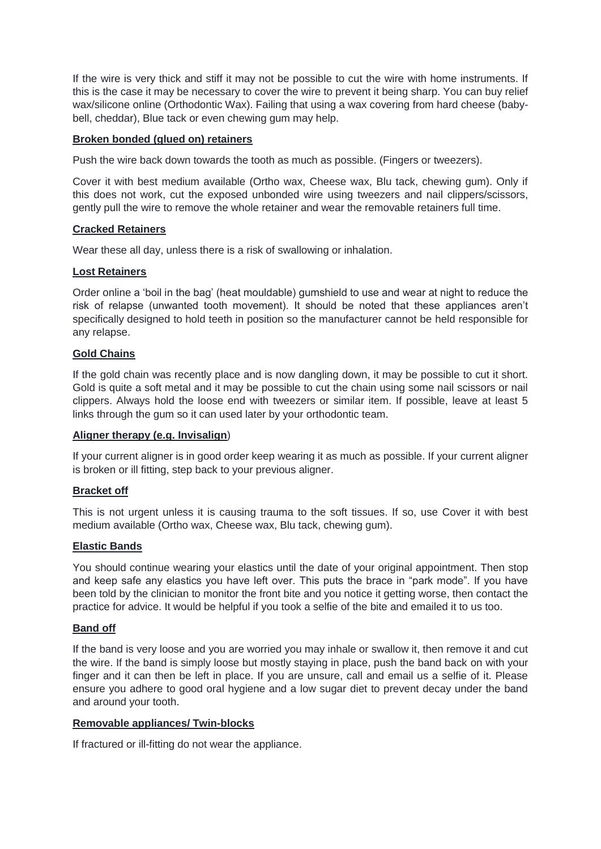If the wire is very thick and stiff it may not be possible to cut the wire with home instruments. If this is the case it may be necessary to cover the wire to prevent it being sharp. You can buy relief wax/silicone online (Orthodontic Wax). Failing that using a wax covering from hard cheese (babybell, cheddar), Blue tack or even chewing gum may help.

#### **Broken bonded (glued on) retainers**

Push the wire back down towards the tooth as much as possible. (Fingers or tweezers).

Cover it with best medium available (Ortho wax, Cheese wax, Blu tack, chewing gum). Only if this does not work, cut the exposed unbonded wire using tweezers and nail clippers/scissors, gently pull the wire to remove the whole retainer and wear the removable retainers full time.

#### **Cracked Retainers**

Wear these all day, unless there is a risk of swallowing or inhalation.

#### **Lost Retainers**

Order online a 'boil in the bag' (heat mouldable) gumshield to use and wear at night to reduce the risk of relapse (unwanted tooth movement). It should be noted that these appliances aren't specifically designed to hold teeth in position so the manufacturer cannot be held responsible for any relapse.

#### **Gold Chains**

If the gold chain was recently place and is now dangling down, it may be possible to cut it short. Gold is quite a soft metal and it may be possible to cut the chain using some nail scissors or nail clippers. Always hold the loose end with tweezers or similar item. If possible, leave at least 5 links through the gum so it can used later by your orthodontic team.

#### **Aligner therapy (e.g. Invisalign**)

If your current aligner is in good order keep wearing it as much as possible. If your current aligner is broken or ill fitting, step back to your previous aligner.

#### **Bracket off**

This is not urgent unless it is causing trauma to the soft tissues. If so, use Cover it with best medium available (Ortho wax, Cheese wax, Blu tack, chewing gum).

#### **Elastic Bands**

You should continue wearing your elastics until the date of your original appointment. Then stop and keep safe any elastics you have left over. This puts the brace in "park mode". If you have been told by the clinician to monitor the front bite and you notice it getting worse, then contact the practice for advice. It would be helpful if you took a selfie of the bite and emailed it to us too.

#### **Band off**

If the band is very loose and you are worried you may inhale or swallow it, then remove it and cut the wire. If the band is simply loose but mostly staying in place, push the band back on with your finger and it can then be left in place. If you are unsure, call and email us a selfie of it. Please ensure you adhere to good oral hygiene and a low sugar diet to prevent decay under the band and around your tooth.

#### **Removable appliances/ Twin-blocks**

If fractured or ill-fitting do not wear the appliance.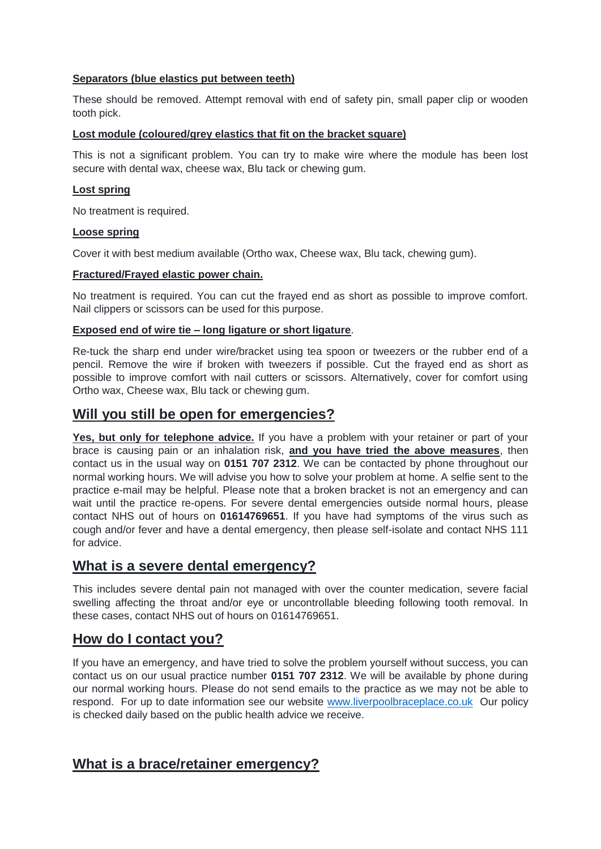#### **Separators (blue elastics put between teeth)**

These should be removed. Attempt removal with end of safety pin, small paper clip or wooden tooth pick.

#### **Lost module (coloured/grey elastics that fit on the bracket square)**

This is not a significant problem. You can try to make wire where the module has been lost secure with dental wax, cheese wax, Blu tack or chewing gum.

#### **Lost spring**

No treatment is required.

#### **Loose spring**

Cover it with best medium available (Ortho wax, Cheese wax, Blu tack, chewing gum).

#### **Fractured/Frayed elastic power chain.**

No treatment is required. You can cut the frayed end as short as possible to improve comfort. Nail clippers or scissors can be used for this purpose.

#### **Exposed end of wire tie – long ligature or short ligature**.

Re-tuck the sharp end under wire/bracket using tea spoon or tweezers or the rubber end of a pencil. Remove the wire if broken with tweezers if possible. Cut the frayed end as short as possible to improve comfort with nail cutters or scissors. Alternatively, cover for comfort using Ortho wax, Cheese wax, Blu tack or chewing gum.

### **Will you still be open for emergencies?**

**Yes, but only for telephone advice.** If you have a problem with your retainer or part of your brace is causing pain or an inhalation risk, **and you have tried the above measures**, then contact us in the usual way on **0151 707 2312**. We can be contacted by phone throughout our normal working hours. We will advise you how to solve your problem at home. A selfie sent to the practice e-mail may be helpful. Please note that a broken bracket is not an emergency and can wait until the practice re-opens. For severe dental emergencies outside normal hours, please contact NHS out of hours on **01614769651**. If you have had symptoms of the virus such as cough and/or fever and have a dental emergency, then please self-isolate and contact NHS 111 for advice.

### **What is a severe dental emergency?**

This includes severe dental pain not managed with over the counter medication, severe facial swelling affecting the throat and/or eye or uncontrollable bleeding following tooth removal. In these cases, contact NHS out of hours on 01614769651.

### **How do I contact you?**

If you have an emergency, and have tried to solve the problem yourself without success, you can contact us on our usual practice number **0151 707 2312**. We will be available by phone during our normal working hours. Please do not send emails to the practice as we may not be able to respond. For up to date information see our website [www.liverpoolbraceplace.co.uk](http://www.liverpoolbraceplace.co.uk/) Our policy is checked daily based on the public health advice we receive.

### **What is a brace/retainer emergency?**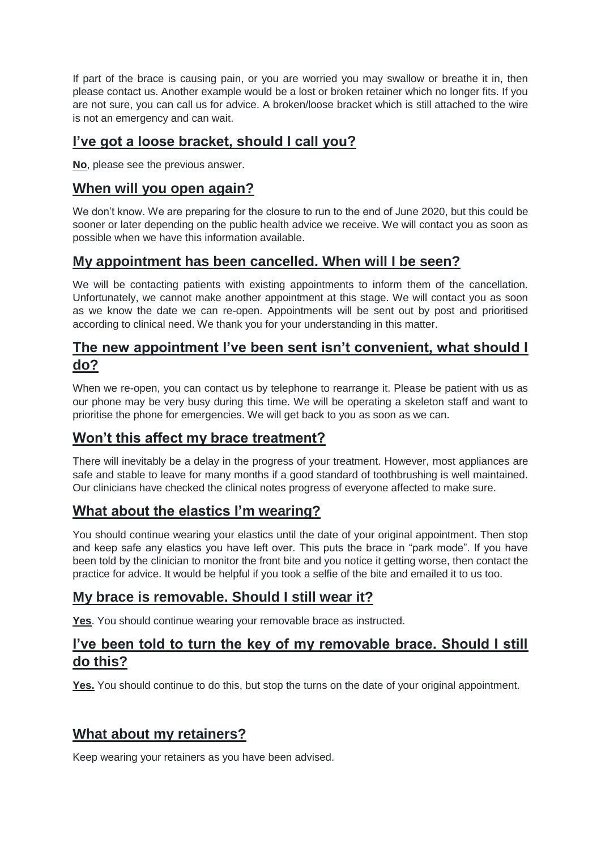If part of the brace is causing pain, or you are worried you may swallow or breathe it in, then please contact us. Another example would be a lost or broken retainer which no longer fits. If you are not sure, you can call us for advice. A broken/loose bracket which is still attached to the wire is not an emergency and can wait.

## **I've got a loose bracket, should I call you?**

**No**, please see the previous answer.

### **When will you open again?**

We don't know. We are preparing for the closure to run to the end of June 2020, but this could be sooner or later depending on the public health advice we receive. We will contact you as soon as possible when we have this information available.

### **My appointment has been cancelled. When will I be seen?**

We will be contacting patients with existing appointments to inform them of the cancellation. Unfortunately, we cannot make another appointment at this stage. We will contact you as soon as we know the date we can re-open. Appointments will be sent out by post and prioritised according to clinical need. We thank you for your understanding in this matter.

### **The new appointment I've been sent isn't convenient, what should I do?**

When we re-open, you can contact us by telephone to rearrange it. Please be patient with us as our phone may be very busy during this time. We will be operating a skeleton staff and want to prioritise the phone for emergencies. We will get back to you as soon as we can.

# **Won't this affect my brace treatment?**

There will inevitably be a delay in the progress of your treatment. However, most appliances are safe and stable to leave for many months if a good standard of toothbrushing is well maintained. Our clinicians have checked the clinical notes progress of everyone affected to make sure.

### **What about the elastics I'm wearing?**

You should continue wearing your elastics until the date of your original appointment. Then stop and keep safe any elastics you have left over. This puts the brace in "park mode". If you have been told by the clinician to monitor the front bite and you notice it getting worse, then contact the practice for advice. It would be helpful if you took a selfie of the bite and emailed it to us too.

# **My brace is removable. Should I still wear it?**

**Yes**. You should continue wearing your removable brace as instructed.

### **I've been told to turn the key of my removable brace. Should I still do this?**

**Yes.** You should continue to do this, but stop the turns on the date of your original appointment.

### **What about my retainers?**

Keep wearing your retainers as you have been advised.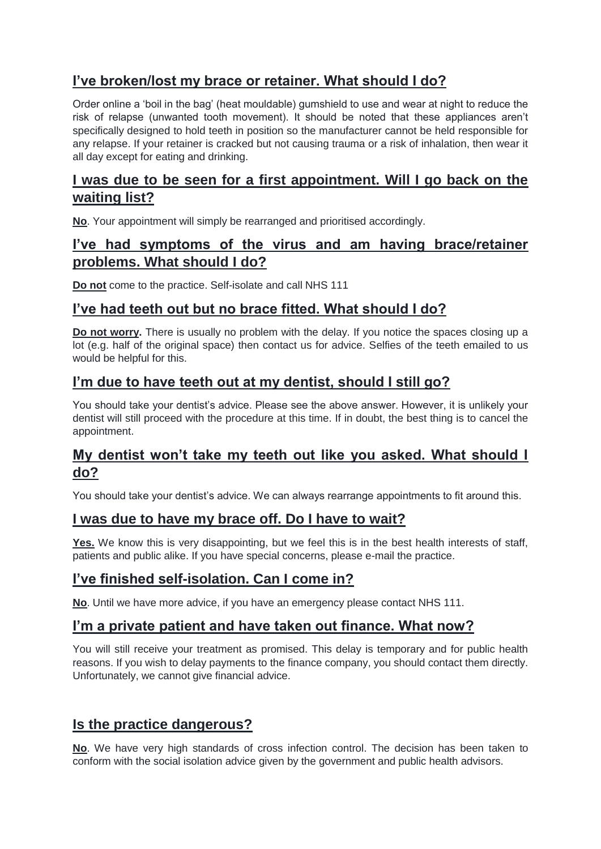# **I've broken/lost my brace or retainer. What should I do?**

Order online a 'boil in the bag' (heat mouldable) gumshield to use and wear at night to reduce the risk of relapse (unwanted tooth movement). It should be noted that these appliances aren't specifically designed to hold teeth in position so the manufacturer cannot be held responsible for any relapse. If your retainer is cracked but not causing trauma or a risk of inhalation, then wear it all day except for eating and drinking.

## **I was due to be seen for a first appointment. Will I go back on the waiting list?**

**No**. Your appointment will simply be rearranged and prioritised accordingly.

### **I've had symptoms of the virus and am having brace/retainer problems. What should I do?**

**Do not** come to the practice. Self-isolate and call NHS 111

# **I've had teeth out but no brace fitted. What should I do?**

**Do not worry.** There is usually no problem with the delay. If you notice the spaces closing up a lot (e.g. half of the original space) then contact us for advice. Selfies of the teeth emailed to us would be helpful for this.

### **I'm due to have teeth out at my dentist, should I still go?**

You should take your dentist's advice. Please see the above answer. However, it is unlikely your dentist will still proceed with the procedure at this time. If in doubt, the best thing is to cancel the appointment.

# **My dentist won't take my teeth out like you asked. What should I do?**

You should take your dentist's advice. We can always rearrange appointments to fit around this.

# **I was due to have my brace off. Do I have to wait?**

Yes. We know this is very disappointing, but we feel this is in the best health interests of staff, patients and public alike. If you have special concerns, please e-mail the practice.

# **I've finished self-isolation. Can I come in?**

**No**. Until we have more advice, if you have an emergency please contact NHS 111.

### **I'm a private patient and have taken out finance. What now?**

You will still receive your treatment as promised. This delay is temporary and for public health reasons. If you wish to delay payments to the finance company, you should contact them directly. Unfortunately, we cannot give financial advice.

# **Is the practice dangerous?**

**No**. We have very high standards of cross infection control. The decision has been taken to conform with the social isolation advice given by the government and public health advisors.